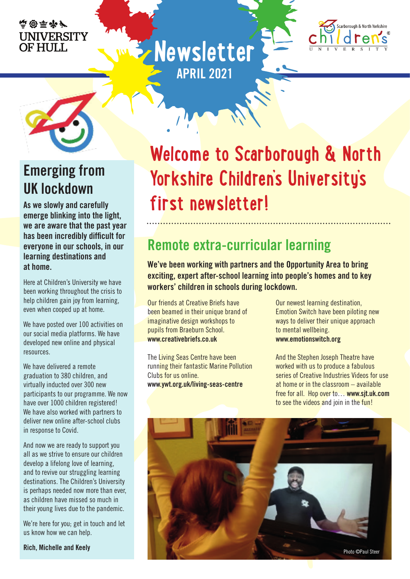#### 血密平和厂 **UNIVERSITY** OF HULL.





### **Emerging from UK lockdown**

**As we slowly and carefully emerge blinking into the light, we are aware that the past year has been incredibly difficult for everyone in our schools, in our learning destinations and at home.**

Here at Children's University we have been working throughout the crisis to help children gain joy from learning, even when cooped up at home.

We have posted over 100 activities on our social media platforms. We have developed new online and physical resources.

We have delivered a remote graduation to 380 children, and virtually inducted over 300 new participants to our programme. We now have over 1000 children registered! We have also worked with partners to deliver new online after-school clubs in response to Covid.

And now we are ready to support you all as we strive to ensure our children develop a lifelong love of learning, and to revive our struggling learning destinations. The Children's University is perhaps needed now more than ever, as children have missed so much in their young lives due to the pandemic.

We're here for you; get in touch and let us know how we can help.

## **Welcome to Scarborough & North Yorkshire Children's University's first newsletter!**

### **Remote extra-curricular learning**

**We've been working with partners and the Opportunity Area to bring exciting, expert after-school learning into people's homes and to key workers' children in schools during lockdown.**

Our friends at Creative Briefs have been beamed in their unique brand of imaginative design workshops to pupils from Braeburn School. **www.creativebriefs.co.uk**

**Newsletter**

**APRIL 2021**

The Living Seas Centre have been running their fantastic Marine Pollution Clubs for us online. **www.ywt.org.uk/living-seas-centre**

Our newest learning destination, Emotion Switch have been piloting new ways to deliver their unique approach to mental wellbeing. **www.emotionswitch.org**

And the Stephen Joseph Theatre have worked with us to produce a fabulous series of Creative Industries Videos for use at home or in the classroom – available free for all. Hop over to… **www.sjt.uk.com** to see the videos and join in the fun!